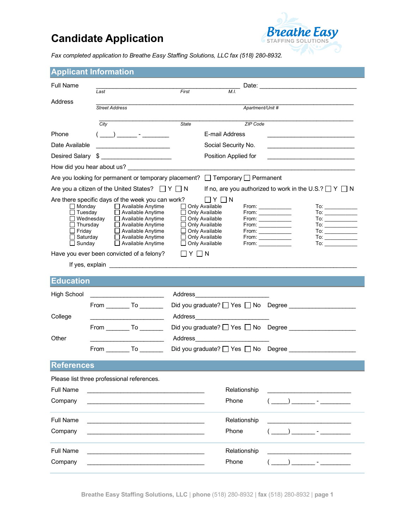## **Candidate Application**



*Fax completed application to Breathe Easy Staffing Solutions, LLC fax (518) 280-8932.*

| <b>Full Name</b><br>First<br>Last<br>Address<br>Apartment/Unit #<br><b>Street Address</b><br>$\overline{City}$<br><b>State</b><br>ZIP Code<br>E-mail Address<br>Phone<br>$(\underline{\hspace{1cm}})$ $\underline{\hspace{1cm}}$ $\cdot$ $\underline{\hspace{1cm}}$ $\cdot$ $\underline{\hspace{1cm}}$ $\cdot$ $\underline{\hspace{1cm}}$ $\cdot$ $\underline{\hspace{1cm}}$ $\cdot$ $\underline{\hspace{1cm}}$ $\cdot$ $\underline{\hspace{1cm}}$ $\cdot$ $\underline{\hspace{1cm}}$ $\cdot$ $\underline{\hspace{1cm}}$ $\cdot$ $\underline{\hspace{1cm}}$ $\cdot$ $\underline{\hspace{1cm}}$ $\cdot$ $\underline{\hspace{1cm}}$ $\cdot$ $\underline{\$<br>Date Available<br>Social Security No.<br>$\color{red}$<br>Desired Salary<br>Position Applied for<br>How did you hear about us?<br>Are you looking for permanent or temporary placement? □ Temporary □ Permanent<br>Are you a citizen of the United States? $\Box Y \Box N$<br>If no, are you authorized to work in the U.S.? $\Box Y \Box N$<br>Are there specific days of the week you can work?<br>$ $ $ $ $ $ $\vee$ $ $ $ $ $\wedge$<br>$\Box$ Available Anytime<br>$\Box$ Monday<br>Only Available<br>$\Box$ Tuesday<br>Available Anytime<br>Only Available<br>From:<br>□ Available Anytime<br>$\Box$ Wednesday<br>Only Available<br>$To: \begin{tabular}{ c c c } \hline \quad \quad & \quad \quad & \quad \quad \\ \hline \end{tabular}$<br>$\Box$ Thursday<br>□ Available Anytime<br>$\Box$ Only Available<br>$To: \begin{tabular}{ c c c } \hline \quad \quad & \quad \quad & \quad \quad \\ \hline \end{tabular}$<br>Available Anytime<br>$\Box$ Friday<br>$\Box$ Only Available<br>$To: \begin{tabular}{ c c c } \hline \quad \quad & \quad \quad & \quad \quad \\ \hline \end{tabular}$<br>$From: \begin{tabular}{ c c } \hline \quad \quad & \quad \quad & \quad \quad \\ \hline \end{tabular}$<br>$\begin{picture}(150,10) \put(0,0){\line(1,0){10}} \put(15,0){\line(1,0){10}} \put(15,0){\line(1,0){10}} \put(15,0){\line(1,0){10}} \put(15,0){\line(1,0){10}} \put(15,0){\line(1,0){10}} \put(15,0){\line(1,0){10}} \put(15,0){\line(1,0){10}} \put(15,0){\line(1,0){10}} \put(15,0){\line(1,0){10}} \put(15,0){\line(1,0){10}} \put(15,0){\line($<br>$\Box$ Saturday<br>$\Box$ Available Anytime<br>Only Available<br>$From: \_\_\_\_\_\_\_\_\_\$<br>$\Box$ Sunday<br>$\Box$ Available Anytime<br>Only Available<br>To: $\overline{\phantom{a}}$ |  |  |  |  |
|--------------------------------------------------------------------------------------------------------------------------------------------------------------------------------------------------------------------------------------------------------------------------------------------------------------------------------------------------------------------------------------------------------------------------------------------------------------------------------------------------------------------------------------------------------------------------------------------------------------------------------------------------------------------------------------------------------------------------------------------------------------------------------------------------------------------------------------------------------------------------------------------------------------------------------------------------------------------------------------------------------------------------------------------------------------------------------------------------------------------------------------------------------------------------------------------------------------------------------------------------------------------------------------------------------------------------------------------------------------------------------------------------------------------------------------------------------------------------------------------------------------------------------------------------------------------------------------------------------------------------------------------------------------------------------------------------------------------------------------------------------------------------------------------------------------------------------------------------------------------------------------------------------------------------------------------------------------------------------------------------------------------------------------------------------------------------------------------------------------------------------------------------------------------------------------------------------------------------------------------------------------------------------------------------------------------------------------------------------------------------------------------------------------------------------|--|--|--|--|
|                                                                                                                                                                                                                                                                                                                                                                                                                                                                                                                                                                                                                                                                                                                                                                                                                                                                                                                                                                                                                                                                                                                                                                                                                                                                                                                                                                                                                                                                                                                                                                                                                                                                                                                                                                                                                                                                                                                                                                                                                                                                                                                                                                                                                                                                                                                                                                                                                                |  |  |  |  |
|                                                                                                                                                                                                                                                                                                                                                                                                                                                                                                                                                                                                                                                                                                                                                                                                                                                                                                                                                                                                                                                                                                                                                                                                                                                                                                                                                                                                                                                                                                                                                                                                                                                                                                                                                                                                                                                                                                                                                                                                                                                                                                                                                                                                                                                                                                                                                                                                                                |  |  |  |  |
|                                                                                                                                                                                                                                                                                                                                                                                                                                                                                                                                                                                                                                                                                                                                                                                                                                                                                                                                                                                                                                                                                                                                                                                                                                                                                                                                                                                                                                                                                                                                                                                                                                                                                                                                                                                                                                                                                                                                                                                                                                                                                                                                                                                                                                                                                                                                                                                                                                |  |  |  |  |
|                                                                                                                                                                                                                                                                                                                                                                                                                                                                                                                                                                                                                                                                                                                                                                                                                                                                                                                                                                                                                                                                                                                                                                                                                                                                                                                                                                                                                                                                                                                                                                                                                                                                                                                                                                                                                                                                                                                                                                                                                                                                                                                                                                                                                                                                                                                                                                                                                                |  |  |  |  |
|                                                                                                                                                                                                                                                                                                                                                                                                                                                                                                                                                                                                                                                                                                                                                                                                                                                                                                                                                                                                                                                                                                                                                                                                                                                                                                                                                                                                                                                                                                                                                                                                                                                                                                                                                                                                                                                                                                                                                                                                                                                                                                                                                                                                                                                                                                                                                                                                                                |  |  |  |  |
|                                                                                                                                                                                                                                                                                                                                                                                                                                                                                                                                                                                                                                                                                                                                                                                                                                                                                                                                                                                                                                                                                                                                                                                                                                                                                                                                                                                                                                                                                                                                                                                                                                                                                                                                                                                                                                                                                                                                                                                                                                                                                                                                                                                                                                                                                                                                                                                                                                |  |  |  |  |
|                                                                                                                                                                                                                                                                                                                                                                                                                                                                                                                                                                                                                                                                                                                                                                                                                                                                                                                                                                                                                                                                                                                                                                                                                                                                                                                                                                                                                                                                                                                                                                                                                                                                                                                                                                                                                                                                                                                                                                                                                                                                                                                                                                                                                                                                                                                                                                                                                                |  |  |  |  |
|                                                                                                                                                                                                                                                                                                                                                                                                                                                                                                                                                                                                                                                                                                                                                                                                                                                                                                                                                                                                                                                                                                                                                                                                                                                                                                                                                                                                                                                                                                                                                                                                                                                                                                                                                                                                                                                                                                                                                                                                                                                                                                                                                                                                                                                                                                                                                                                                                                |  |  |  |  |
|                                                                                                                                                                                                                                                                                                                                                                                                                                                                                                                                                                                                                                                                                                                                                                                                                                                                                                                                                                                                                                                                                                                                                                                                                                                                                                                                                                                                                                                                                                                                                                                                                                                                                                                                                                                                                                                                                                                                                                                                                                                                                                                                                                                                                                                                                                                                                                                                                                |  |  |  |  |
|                                                                                                                                                                                                                                                                                                                                                                                                                                                                                                                                                                                                                                                                                                                                                                                                                                                                                                                                                                                                                                                                                                                                                                                                                                                                                                                                                                                                                                                                                                                                                                                                                                                                                                                                                                                                                                                                                                                                                                                                                                                                                                                                                                                                                                                                                                                                                                                                                                |  |  |  |  |
|                                                                                                                                                                                                                                                                                                                                                                                                                                                                                                                                                                                                                                                                                                                                                                                                                                                                                                                                                                                                                                                                                                                                                                                                                                                                                                                                                                                                                                                                                                                                                                                                                                                                                                                                                                                                                                                                                                                                                                                                                                                                                                                                                                                                                                                                                                                                                                                                                                |  |  |  |  |
|                                                                                                                                                                                                                                                                                                                                                                                                                                                                                                                                                                                                                                                                                                                                                                                                                                                                                                                                                                                                                                                                                                                                                                                                                                                                                                                                                                                                                                                                                                                                                                                                                                                                                                                                                                                                                                                                                                                                                                                                                                                                                                                                                                                                                                                                                                                                                                                                                                |  |  |  |  |
|                                                                                                                                                                                                                                                                                                                                                                                                                                                                                                                                                                                                                                                                                                                                                                                                                                                                                                                                                                                                                                                                                                                                                                                                                                                                                                                                                                                                                                                                                                                                                                                                                                                                                                                                                                                                                                                                                                                                                                                                                                                                                                                                                                                                                                                                                                                                                                                                                                |  |  |  |  |
|                                                                                                                                                                                                                                                                                                                                                                                                                                                                                                                                                                                                                                                                                                                                                                                                                                                                                                                                                                                                                                                                                                                                                                                                                                                                                                                                                                                                                                                                                                                                                                                                                                                                                                                                                                                                                                                                                                                                                                                                                                                                                                                                                                                                                                                                                                                                                                                                                                |  |  |  |  |
|                                                                                                                                                                                                                                                                                                                                                                                                                                                                                                                                                                                                                                                                                                                                                                                                                                                                                                                                                                                                                                                                                                                                                                                                                                                                                                                                                                                                                                                                                                                                                                                                                                                                                                                                                                                                                                                                                                                                                                                                                                                                                                                                                                                                                                                                                                                                                                                                                                |  |  |  |  |
|                                                                                                                                                                                                                                                                                                                                                                                                                                                                                                                                                                                                                                                                                                                                                                                                                                                                                                                                                                                                                                                                                                                                                                                                                                                                                                                                                                                                                                                                                                                                                                                                                                                                                                                                                                                                                                                                                                                                                                                                                                                                                                                                                                                                                                                                                                                                                                                                                                |  |  |  |  |
| Have you ever been convicted of a felony?<br>$\Box$ $Y$ $\Box$ $N$                                                                                                                                                                                                                                                                                                                                                                                                                                                                                                                                                                                                                                                                                                                                                                                                                                                                                                                                                                                                                                                                                                                                                                                                                                                                                                                                                                                                                                                                                                                                                                                                                                                                                                                                                                                                                                                                                                                                                                                                                                                                                                                                                                                                                                                                                                                                                             |  |  |  |  |
|                                                                                                                                                                                                                                                                                                                                                                                                                                                                                                                                                                                                                                                                                                                                                                                                                                                                                                                                                                                                                                                                                                                                                                                                                                                                                                                                                                                                                                                                                                                                                                                                                                                                                                                                                                                                                                                                                                                                                                                                                                                                                                                                                                                                                                                                                                                                                                                                                                |  |  |  |  |
| <b>Education</b>                                                                                                                                                                                                                                                                                                                                                                                                                                                                                                                                                                                                                                                                                                                                                                                                                                                                                                                                                                                                                                                                                                                                                                                                                                                                                                                                                                                                                                                                                                                                                                                                                                                                                                                                                                                                                                                                                                                                                                                                                                                                                                                                                                                                                                                                                                                                                                                                               |  |  |  |  |
| <b>High School</b><br>Address and the contract of the contract of the contract of the contract of the contract of the contract of the contract of the contract of the contract of the contract of the contract of the contract of the contract of th                                                                                                                                                                                                                                                                                                                                                                                                                                                                                                                                                                                                                                                                                                                                                                                                                                                                                                                                                                                                                                                                                                                                                                                                                                                                                                                                                                                                                                                                                                                                                                                                                                                                                                                                                                                                                                                                                                                                                                                                                                                                                                                                                                           |  |  |  |  |
| Did you graduate? Ves No Degree                                                                                                                                                                                                                                                                                                                                                                                                                                                                                                                                                                                                                                                                                                                                                                                                                                                                                                                                                                                                                                                                                                                                                                                                                                                                                                                                                                                                                                                                                                                                                                                                                                                                                                                                                                                                                                                                                                                                                                                                                                                                                                                                                                                                                                                                                                                                                                                                |  |  |  |  |
| Address and the state of the state of the state of the state of the state of the state of the state of the state of the state of the state of the state of the state of the state of the state of the state of the state of the<br>College                                                                                                                                                                                                                                                                                                                                                                                                                                                                                                                                                                                                                                                                                                                                                                                                                                                                                                                                                                                                                                                                                                                                                                                                                                                                                                                                                                                                                                                                                                                                                                                                                                                                                                                                                                                                                                                                                                                                                                                                                                                                                                                                                                                     |  |  |  |  |
| Did you graduate? Ves No Degree                                                                                                                                                                                                                                                                                                                                                                                                                                                                                                                                                                                                                                                                                                                                                                                                                                                                                                                                                                                                                                                                                                                                                                                                                                                                                                                                                                                                                                                                                                                                                                                                                                                                                                                                                                                                                                                                                                                                                                                                                                                                                                                                                                                                                                                                                                                                                                                                |  |  |  |  |
| Other<br>Address and the contract of the contract of the contract of the contract of the contract of the contract of the contract of the contract of the contract of the contract of the contract of the contract of the contract of th                                                                                                                                                                                                                                                                                                                                                                                                                                                                                                                                                                                                                                                                                                                                                                                                                                                                                                                                                                                                                                                                                                                                                                                                                                                                                                                                                                                                                                                                                                                                                                                                                                                                                                                                                                                                                                                                                                                                                                                                                                                                                                                                                                                        |  |  |  |  |
| From To                                                                                                                                                                                                                                                                                                                                                                                                                                                                                                                                                                                                                                                                                                                                                                                                                                                                                                                                                                                                                                                                                                                                                                                                                                                                                                                                                                                                                                                                                                                                                                                                                                                                                                                                                                                                                                                                                                                                                                                                                                                                                                                                                                                                                                                                                                                                                                                                                        |  |  |  |  |
| <b>References</b>                                                                                                                                                                                                                                                                                                                                                                                                                                                                                                                                                                                                                                                                                                                                                                                                                                                                                                                                                                                                                                                                                                                                                                                                                                                                                                                                                                                                                                                                                                                                                                                                                                                                                                                                                                                                                                                                                                                                                                                                                                                                                                                                                                                                                                                                                                                                                                                                              |  |  |  |  |
| Please list three professional references.                                                                                                                                                                                                                                                                                                                                                                                                                                                                                                                                                                                                                                                                                                                                                                                                                                                                                                                                                                                                                                                                                                                                                                                                                                                                                                                                                                                                                                                                                                                                                                                                                                                                                                                                                                                                                                                                                                                                                                                                                                                                                                                                                                                                                                                                                                                                                                                     |  |  |  |  |
| Full Name<br>Relationship                                                                                                                                                                                                                                                                                                                                                                                                                                                                                                                                                                                                                                                                                                                                                                                                                                                                                                                                                                                                                                                                                                                                                                                                                                                                                                                                                                                                                                                                                                                                                                                                                                                                                                                                                                                                                                                                                                                                                                                                                                                                                                                                                                                                                                                                                                                                                                                                      |  |  |  |  |
| <u> 1989 - Johann John Stone, mars et al. (</u><br>Phone<br>Company<br>$\overline{a}$ ) and $\overline{a}$ - $\overline{a}$ - $\overline{a}$ - $\overline{a}$ - $\overline{a}$ - $\overline{a}$ - $\overline{a}$ - $\overline{a}$ - $\overline{a}$ - $\overline{a}$ - $\overline{a}$ - $\overline{a}$ - $\overline{a}$ - $\overline{a}$ - $\overline{a}$ - $\overline{a}$ - $\overline{a}$ - $\overline{a}$ - $\overline{a}$                                                                                                                                                                                                                                                                                                                                                                                                                                                                                                                                                                                                                                                                                                                                                                                                                                                                                                                                                                                                                                                                                                                                                                                                                                                                                                                                                                                                                                                                                                                                                                                                                                                                                                                                                                                                                                                                                                                                                                                                   |  |  |  |  |
|                                                                                                                                                                                                                                                                                                                                                                                                                                                                                                                                                                                                                                                                                                                                                                                                                                                                                                                                                                                                                                                                                                                                                                                                                                                                                                                                                                                                                                                                                                                                                                                                                                                                                                                                                                                                                                                                                                                                                                                                                                                                                                                                                                                                                                                                                                                                                                                                                                |  |  |  |  |
| <b>Full Name</b><br>Relationship                                                                                                                                                                                                                                                                                                                                                                                                                                                                                                                                                                                                                                                                                                                                                                                                                                                                                                                                                                                                                                                                                                                                                                                                                                                                                                                                                                                                                                                                                                                                                                                                                                                                                                                                                                                                                                                                                                                                                                                                                                                                                                                                                                                                                                                                                                                                                                                               |  |  |  |  |
| Phone<br>Company<br>$\overline{\phantom{a}}$                                                                                                                                                                                                                                                                                                                                                                                                                                                                                                                                                                                                                                                                                                                                                                                                                                                                                                                                                                                                                                                                                                                                                                                                                                                                                                                                                                                                                                                                                                                                                                                                                                                                                                                                                                                                                                                                                                                                                                                                                                                                                                                                                                                                                                                                                                                                                                                   |  |  |  |  |
|                                                                                                                                                                                                                                                                                                                                                                                                                                                                                                                                                                                                                                                                                                                                                                                                                                                                                                                                                                                                                                                                                                                                                                                                                                                                                                                                                                                                                                                                                                                                                                                                                                                                                                                                                                                                                                                                                                                                                                                                                                                                                                                                                                                                                                                                                                                                                                                                                                |  |  |  |  |
| <b>Full Name</b><br>Relationship                                                                                                                                                                                                                                                                                                                                                                                                                                                                                                                                                                                                                                                                                                                                                                                                                                                                                                                                                                                                                                                                                                                                                                                                                                                                                                                                                                                                                                                                                                                                                                                                                                                                                                                                                                                                                                                                                                                                                                                                                                                                                                                                                                                                                                                                                                                                                                                               |  |  |  |  |
| Phone<br>Company                                                                                                                                                                                                                                                                                                                                                                                                                                                                                                                                                                                                                                                                                                                                                                                                                                                                                                                                                                                                                                                                                                                                                                                                                                                                                                                                                                                                                                                                                                                                                                                                                                                                                                                                                                                                                                                                                                                                                                                                                                                                                                                                                                                                                                                                                                                                                                                                               |  |  |  |  |